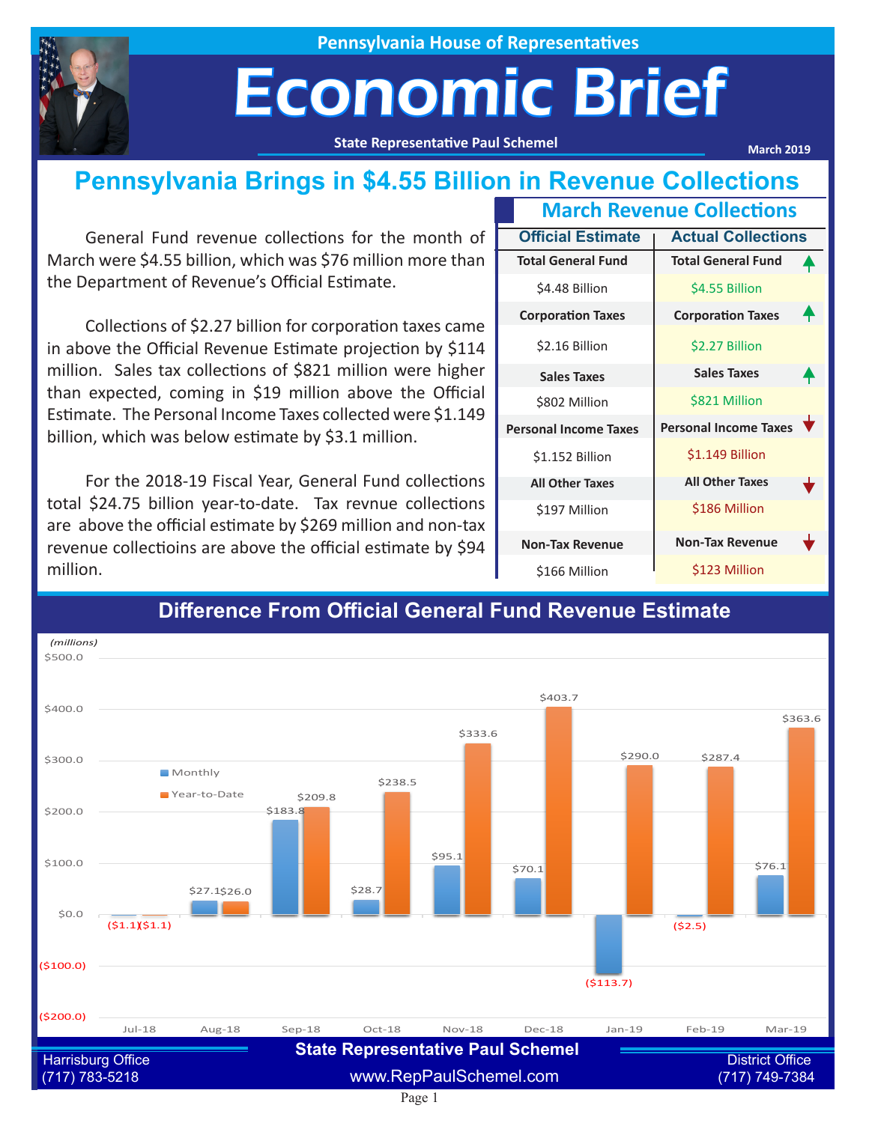

**Pennsylvania House of Representatives**

## Economic Brief

**State Representative Paul Schemel**

**March 2019**

#### **Pennsylvania Brings in \$4.55 Billion in Revenue Collections**

General Fund revenue collections for the month of March were \$4.55 billion, which was \$76 million more than the Department of Revenue's Official Estimate.

Collections of \$2.27 billion for corporation taxes came in above the Official Revenue Estimate projection by \$114 million. Sales tax collections of \$821 million were higher than expected, coming in \$19 million above the Official Estimate. The Personal Income Taxes collected were \$1.149 billion, which was below estimate by \$3.1 million.

For the 2018-19 Fiscal Year, General Fund collections total \$24.75 billion year-to-date. Tax revnue collections are above the official estimate by \$269 million and non-tax revenue collectioins are above the official estimate by \$94 million.

| <b>March Revenue Collections</b> |                          |                              |  |  |
|----------------------------------|--------------------------|------------------------------|--|--|
|                                  | <b>Official Estimate</b> | <b>Actual Collections</b>    |  |  |
| <b>Total General Fund</b>        |                          | <b>Total General Fund</b>    |  |  |
| \$4.48 Billion                   |                          | \$4.55 Billion               |  |  |
| <b>Corporation Taxes</b>         |                          | <b>Corporation Taxes</b>     |  |  |
| \$2.16 Billion                   |                          | \$2.27 Billion               |  |  |
| <b>Sales Taxes</b>               |                          | <b>Sales Taxes</b>           |  |  |
| \$802 Million                    |                          | \$821 Million                |  |  |
| <b>Personal Income Taxes</b>     |                          | <b>Personal Income Taxes</b> |  |  |
| \$1.152 Billion                  |                          | \$1.149 Billion              |  |  |
| <b>All Other Taxes</b>           |                          | <b>All Other Taxes</b>       |  |  |
| \$197 Million                    |                          | \$186 Million                |  |  |
| <b>Non-Tax Revenue</b>           |                          | <b>Non-Tax Revenue</b>       |  |  |
| \$166 Million                    |                          | \$123 Million                |  |  |



#### **Difference From Official General Fund Revenue Estimate**